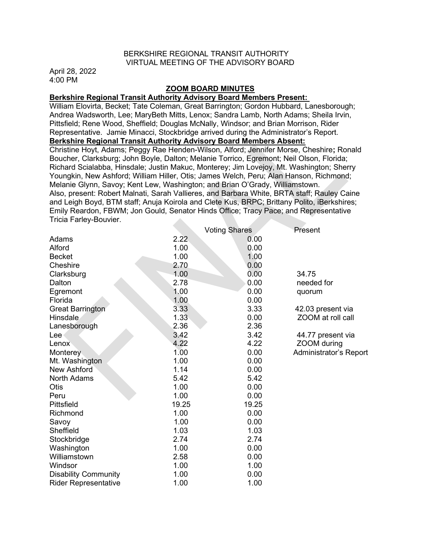## BERKSHIRE REGIONAL TRANSIT AUTHORITY VIRTUAL MEETING OF THE ADVISORY BOARD

April 28, 2022 4:00 PM

### ZOOM BOARD MINUTES

## Berkshire Regional Transit Authority Advisory Board Members Present:

William Elovirta, Becket; Tate Coleman, Great Barrington; Gordon Hubbard, Lanesborough; Andrea Wadsworth, Lee; MaryBeth Mitts, Lenox; Sandra Lamb, North Adams; Sheila Irvin, Pittsfield; Rene Wood, Sheffield; Douglas McNally, Windsor; and Brian Morrison, Rider Representative. Jamie Minacci, Stockbridge arrived during the Administrator's Report. Berkshire Regional Transit Authority Advisory Board Members Absent:

Christine Hoyt, Adams; Peggy Rae Henden-Wilson, Alford; Jennifer Morse, Cheshire; Ronald Boucher, Clarksburg; John Boyle, Dalton; Melanie Torrico, Egremont; Neil Olson, Florida; Richard Scialabba, Hinsdale; Justin Makuc, Monterey; Jim Lovejoy, Mt. Washington; Sherry Youngkin, New Ashford; William Hiller, Otis; James Welch, Peru; Alan Hanson, Richmond; Melanie Glynn, Savoy; Kent Lew, Washington; and Brian O'Grady, Williamstown. Also, present: Robert Malnati, Sarah Vallieres, and Barbara White, BRTA staff; Rauley Caine and Leigh Boyd, BTM staff; Anuja Koirola and Clete Kus, BRPC; Brittany Polito, iBerkshires; Emily Reardon, FBWM; Jon Gould, Senator Hinds Office; Tracy Pace; and Representative Tricia Farley-Bouvier.  $\sim 10$ 

|                             |       | <b>Voting Shares</b> | Present                |
|-----------------------------|-------|----------------------|------------------------|
| Adams                       | 2.22  | 0.00                 |                        |
| Alford                      | 1.00  | 0.00                 |                        |
| <b>Becket</b>               | 1.00  | 1.00                 |                        |
| Cheshire                    | 2.70  | 0.00                 |                        |
| Clarksburg                  | 1.00  | 0.00                 | 34.75                  |
| Dalton                      | 2.78  | 0.00                 | needed for             |
| Egremont                    | 1.00  | 0.00                 | quorum                 |
| Florida                     | 1.00  | 0.00                 |                        |
| <b>Great Barrington</b>     | 3.33  | 3.33                 | 42.03 present via      |
| Hinsdale                    | 1.33  | 0.00                 | ZOOM at roll call      |
| Lanesborough                | 2.36  | 2.36                 |                        |
| Lee                         | 3.42  | 3.42                 | 44.77 present via      |
| Lenox                       | 4.22  | 4.22                 | ZOOM during            |
| Monterey                    | 1.00  | 0.00                 | Administrator's Report |
| Mt. Washington              | 1.00  | 0.00                 |                        |
| New Ashford                 | 1.14  | 0.00                 |                        |
| <b>North Adams</b>          | 5.42  | 5.42                 |                        |
| <b>Otis</b>                 | 1.00  | 0.00                 |                        |
| Peru                        | 1.00  | 0.00                 |                        |
| Pittsfield                  | 19.25 | 19.25                |                        |
| Richmond                    | 1.00  | 0.00                 |                        |
| Savoy                       | 1.00  | 0.00                 |                        |
| Sheffield                   | 1.03  | 1.03                 |                        |
| Stockbridge                 | 2.74  | 2.74                 |                        |
| Washington                  | 1.00  | 0.00                 |                        |
| Williamstown                | 2.58  | 0.00                 |                        |
| Windsor                     | 1.00  | 1.00                 |                        |
| <b>Disability Community</b> | 1.00  | 0.00                 |                        |
| <b>Rider Representative</b> | 1.00  | 1.00                 |                        |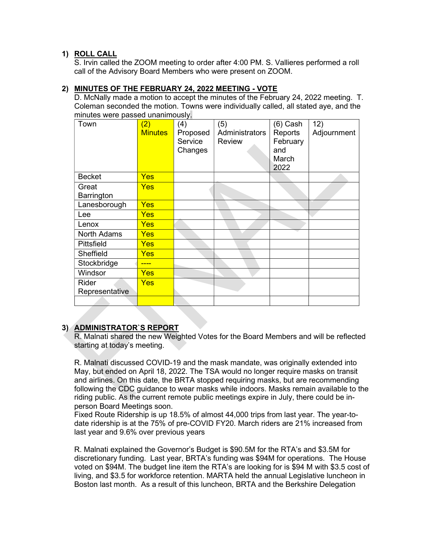# 1) ROLL CALL

S. Irvin called the ZOOM meeting to order after 4:00 PM. S. Vallieres performed a roll call of the Advisory Board Members who were present on ZOOM.

## 2) MINUTES OF THE FEBRUARY 24, 2022 MEETING - VOTE

D. McNally made a motion to accept the minutes of the February 24, 2022 meeting. T. Coleman seconded the motion. Towns were individually called, all stated aye, and the minutes were passed unanimously.

| Town                    | (2)<br><b>Minutes</b> | (4)<br>Proposed<br>Service<br>Changes | (5)<br>Administrators<br><b>Review</b> | (6) Cash<br>Reports<br>February<br>and<br>March<br>2022 | 12)<br>Adjournment |
|-------------------------|-----------------------|---------------------------------------|----------------------------------------|---------------------------------------------------------|--------------------|
| <b>Becket</b>           | Yes                   |                                       |                                        |                                                         |                    |
| Great<br>Barrington     | Yes                   |                                       |                                        |                                                         |                    |
| Lanesborough            | <b>Yes</b>            |                                       |                                        |                                                         |                    |
| Lee                     | Yes                   |                                       |                                        |                                                         |                    |
| Lenox                   | Yes                   |                                       |                                        |                                                         |                    |
| North Adams             | <b>Yes</b>            |                                       |                                        |                                                         |                    |
| Pittsfield              | <b>Yes</b>            |                                       |                                        |                                                         |                    |
| Sheffield               | Yes                   |                                       |                                        |                                                         |                    |
| Stockbridge             |                       |                                       |                                        |                                                         |                    |
| Windsor                 | Yes                   |                                       |                                        |                                                         |                    |
| Rider<br>Representative | Yes                   |                                       |                                        |                                                         |                    |
|                         |                       |                                       |                                        |                                                         |                    |

# 3) ADMINISTRATOR`S REPORT

R. Malnati shared the new Weighted Votes for the Board Members and will be reflected starting at today's meeting.

R. Malnati discussed COVID-19 and the mask mandate, was originally extended into May, but ended on April 18, 2022. The TSA would no longer require masks on transit and airlines. On this date, the BRTA stopped requiring masks, but are recommending following the CDC guidance to wear masks while indoors. Masks remain available to the riding public. As the current remote public meetings expire in July, there could be inperson Board Meetings soon.

Fixed Route Ridership is up 18.5% of almost 44,000 trips from last year. The year-todate ridership is at the 75% of pre-COVID FY20. March riders are 21% increased from last year and 9.6% over previous years

R. Malnati explained the Governor's Budget is \$90.5M for the RTA's and \$3.5M for discretionary funding. Last year, BRTA's funding was \$94M for operations. The House voted on \$94M. The budget line item the RTA's are looking for is \$94 M with \$3.5 cost of living, and \$3.5 for workforce retention. MARTA held the annual Legislative luncheon in Boston last month. As a result of this luncheon, BRTA and the Berkshire Delegation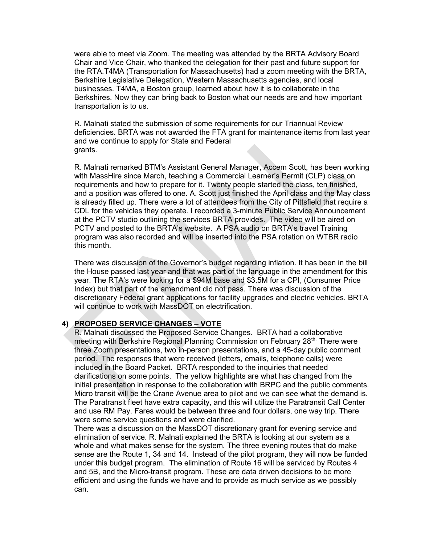were able to meet via Zoom. The meeting was attended by the BRTA Advisory Board Chair and Vice Chair, who thanked the delegation for their past and future support for the RTA.T4MA (Transportation for Massachusetts) had a zoom meeting with the BRTA, Berkshire Legislative Delegation, Western Massachusetts agencies, and local businesses. T4MA, a Boston group, learned about how it is to collaborate in the Berkshires. Now they can bring back to Boston what our needs are and how important transportation is to us.

R. Malnati stated the submission of some requirements for our Triannual Review deficiencies. BRTA was not awarded the FTA grant for maintenance items from last year and we continue to apply for State and Federal grants.

R. Malnati remarked BTM's Assistant General Manager, Accem Scott, has been working with MassHire since March, teaching a Commercial Learner's Permit (CLP) class on requirements and how to prepare for it. Twenty people started the class, ten finished, and a position was offered to one. A. Scott just finished the April class and the May class is already filled up. There were a lot of attendees from the City of Pittsfield that require a CDL for the vehicles they operate. I recorded a 3-minute Public Service Announcement at the PCTV studio outlining the services BRTA provides. The video will be aired on PCTV and posted to the BRTA's website. A PSA audio on BRTA's travel Training program was also recorded and will be inserted into the PSA rotation on WTBR radio this month.

There was discussion of the Governor's budget regarding inflation. It has been in the bill the House passed last year and that was part of the language in the amendment for this year. The RTA's were looking for a \$94M base and \$3.5M for a CPI, (Consumer Price Index) but that part of the amendment did not pass. There was discussion of the discretionary Federal grant applications for facility upgrades and electric vehicles. BRTA will continue to work with MassDOT on electrification.

### 4) PROPOSED SERVICE CHANGES – VOTE

R. Malnati discussed the Proposed Service Changes. BRTA had a collaborative meeting with Berkshire Regional Planning Commission on February 28<sup>th.</sup> There were three Zoom presentations, two in-person presentations, and a 45-day public comment period. The responses that were received (letters, emails, telephone calls) were included in the Board Packet. BRTA responded to the inquiries that needed clarifications on some points. The yellow highlights are what has changed from the initial presentation in response to the collaboration with BRPC and the public comments. Micro transit will be the Crane Avenue area to pilot and we can see what the demand is. The Paratransit fleet have extra capacity, and this will utilize the Paratransit Call Center and use RM Pay. Fares would be between three and four dollars, one way trip. There were some service questions and were clarified.

There was a discussion on the MassDOT discretionary grant for evening service and elimination of service. R. Malnati explained the BRTA is looking at our system as a whole and what makes sense for the system. The three evening routes that do make sense are the Route 1, 34 and 14. Instead of the pilot program, they will now be funded under this budget program. The elimination of Route 16 will be serviced by Routes 4 and 5B, and the Micro-transit program. These are data driven decisions to be more efficient and using the funds we have and to provide as much service as we possibly can.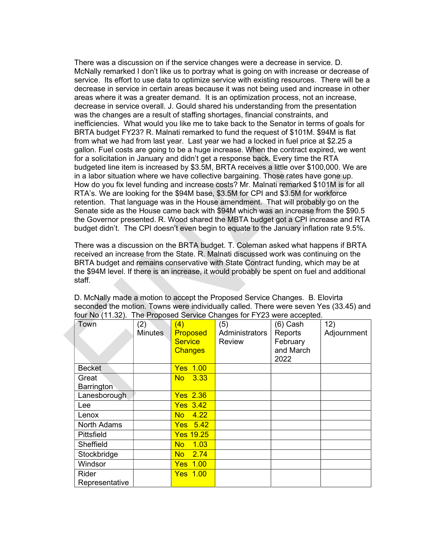There was a discussion on if the service changes were a decrease in service. D. McNally remarked I don't like us to portray what is going on with increase or decrease of service. Its effort to use data to optimize service with existing resources. There will be a decrease in service in certain areas because it was not being used and increase in other areas where it was a greater demand. It is an optimization process, not an increase, decrease in service overall. J. Gould shared his understanding from the presentation was the changes are a result of staffing shortages, financial constraints, and inefficiencies. What would you like me to take back to the Senator in terms of goals for BRTA budget FY23? R. Malnati remarked to fund the request of \$101M. \$94M is flat from what we had from last year. Last year we had a locked in fuel price at \$2.25 a gallon. Fuel costs are going to be a huge increase. When the contract expired, we went for a solicitation in January and didn't get a response back. Every time the RTA budgeted line item is increased by \$3.5M, BRTA receives a little over \$100,000. We are in a labor situation where we have collective bargaining. Those rates have gone up. How do you fix level funding and increase costs? Mr. Malnati remarked \$101M is for all RTA's. We are looking for the \$94M base, \$3.5M for CPI and \$3.5M for workforce retention. That language was in the House amendment. That will probably go on the Senate side as the House came back with \$94M which was an increase from the \$90.5 the Governor presented. R. Wood shared the MBTA budget got a CPI increase and RTA budget didn't. The CPI doesn't even begin to equate to the January inflation rate 9.5%.

There was a discussion on the BRTA budget. T. Coleman asked what happens if BRTA received an increase from the State. R. Malnati discussed work was continuing on the BRTA budget and remains conservative with State Contract funding, which may be at the \$94M level. If there is an increase, it would probably be spent on fuel and additional staff.

| Town           | (2)            | (4)               | (5)            | (6) Cash  | 12)         |
|----------------|----------------|-------------------|----------------|-----------|-------------|
|                | <b>Minutes</b> | Proposed          | Administrators | Reports   | Adjournment |
|                |                |                   |                |           |             |
|                |                | <b>Service</b>    | <b>Review</b>  | February  |             |
|                |                | <b>Changes</b>    |                | and March |             |
|                |                |                   |                | 2022      |             |
| <b>Becket</b>  |                | <b>Yes 1.00</b>   |                |           |             |
| Great          |                | 3.33<br>No.       |                |           |             |
| Barrington     |                |                   |                |           |             |
| Lanesborough   |                | <b>Yes 2.36</b>   |                |           |             |
| Lee            |                | <b>Yes 3.42</b>   |                |           |             |
| Lenox          |                | 4.22<br><b>No</b> |                |           |             |
| North Adams    |                | $Yes$ 5.42        |                |           |             |
| Pittsfield     |                | <b>Yes 19.25</b>  |                |           |             |
| Sheffield      |                | 1.03<br><b>No</b> |                |           |             |
| Stockbridge    |                | No 2.74           |                |           |             |
| Windsor        |                | <b>Yes 1.00</b>   |                |           |             |
| Rider          |                | <b>Yes 1.00</b>   |                |           |             |
| Representative |                |                   |                |           |             |

D. McNally made a motion to accept the Proposed Service Changes. B. Elovirta seconded the motion. Towns were individually called. There were seven Yes (33.45) and four No (11.32). The Proposed Service Changes for FY23 were accepted.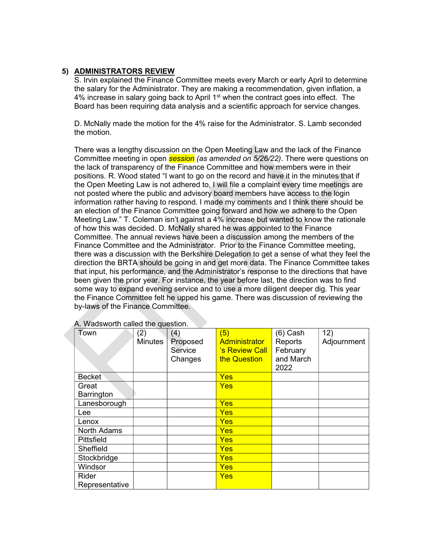## 5) ADMINISTRATORS REVIEW

S. Irvin explained the Finance Committee meets every March or early April to determine the salary for the Administrator. They are making a recommendation, given inflation, a 4% increase in salary going back to April  $1<sup>st</sup>$  when the contract goes into effect. The Board has been requiring data analysis and a scientific approach for service changes.

D. McNally made the motion for the 4% raise for the Administrator. S. Lamb seconded the motion.

There was a lengthy discussion on the Open Meeting Law and the lack of the Finance Committee meeting in open **session** (as amended on 5/26/22). There were questions on the lack of transparency of the Finance Committee and how members were in their positions. R. Wood stated "I want to go on the record and have it in the minutes that if the Open Meeting Law is not adhered to, I will file a complaint every time meetings are not posted where the public and advisory board members have access to the login information rather having to respond. I made my comments and I think there should be an election of the Finance Committee going forward and how we adhere to the Open Meeting Law." T. Coleman isn't against a 4% increase but wanted to know the rationale of how this was decided. D. McNally shared he was appointed to the Finance Committee. The annual reviews have been a discussion among the members of the Finance Committee and the Administrator. Prior to the Finance Committee meeting, there was a discussion with the Berkshire Delegation to get a sense of what they feel the direction the BRTA should be going in and get more data. The Finance Committee takes that input, his performance, and the Administrator's response to the directions that have been given the prior year. For instance, the year before last, the direction was to find some way to expand evening service and to use a more diligent deeper dig. This year the Finance Committee felt he upped his game. There was discussion of reviewing the by-laws of the Finance Committee.

| Town           | (2)<br><b>Minutes</b> | (4)<br>Proposed<br>Service<br>Changes | (5)<br><b>Administrator</b><br>'s Review Call<br>the Question | $(6)$ Cash<br>Reports<br>February<br>and March<br>2022 | 12)<br>Adjournment |
|----------------|-----------------------|---------------------------------------|---------------------------------------------------------------|--------------------------------------------------------|--------------------|
| <b>Becket</b>  |                       |                                       | <b>Yes</b>                                                    |                                                        |                    |
| Great          |                       |                                       | <b>Yes</b>                                                    |                                                        |                    |
| Barrington     |                       |                                       |                                                               |                                                        |                    |
| Lanesborough   |                       |                                       | <b>Yes</b>                                                    |                                                        |                    |
| Lee            |                       |                                       | <b>Yes</b>                                                    |                                                        |                    |
| Lenox          |                       |                                       | <b>Yes</b>                                                    |                                                        |                    |
| North Adams    |                       |                                       | Yes                                                           |                                                        |                    |
| Pittsfield     |                       |                                       | <b>Yes</b>                                                    |                                                        |                    |
| Sheffield      |                       |                                       | <b>Yes</b>                                                    |                                                        |                    |
| Stockbridge    |                       |                                       | <b>Yes</b>                                                    |                                                        |                    |
| Windsor        |                       |                                       | <b>Yes</b>                                                    |                                                        |                    |
| Rider          |                       |                                       | <b>Yes</b>                                                    |                                                        |                    |
| Representative |                       |                                       |                                                               |                                                        |                    |

| A. Wadsworth called the question. |  |
|-----------------------------------|--|
|-----------------------------------|--|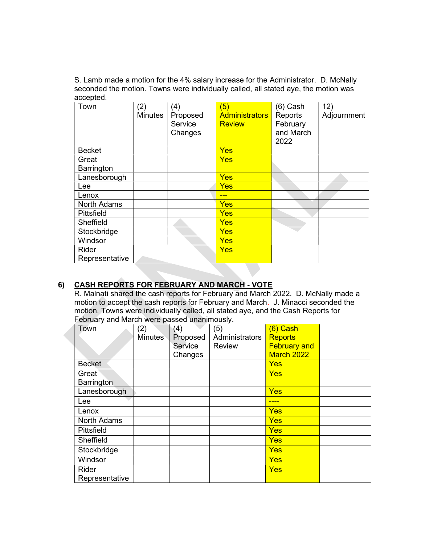S. Lamb made a motion for the 4% salary increase for the Administrator. D. McNally seconded the motion. Towns were individually called, all stated aye, the motion was accepted.

| Town           | (2)            | (4)      | (5)                   | $(6)$ Cash | 12)         |
|----------------|----------------|----------|-----------------------|------------|-------------|
|                | <b>Minutes</b> | Proposed | <b>Administrators</b> | Reports    | Adjournment |
|                |                | Service  | <b>Review</b>         | February   |             |
|                |                | Changes  |                       | and March  |             |
|                |                |          |                       | 2022       |             |
| <b>Becket</b>  |                |          | <b>Yes</b>            |            |             |
| Great          |                |          | <b>Yes</b>            |            |             |
| Barrington     |                |          |                       |            |             |
| Lanesborough   |                |          | <b>Yes</b>            |            |             |
| Lee            |                |          | Yes                   |            |             |
| Lenox          |                |          |                       |            |             |
| North Adams    |                |          | Yes                   |            |             |
| Pittsfield     |                |          | <b>Yes</b>            |            |             |
| Sheffield      |                |          | Yes                   |            |             |
| Stockbridge    |                |          | <b>Yes</b>            |            |             |
| Windsor        |                |          | <b>Yes</b>            |            |             |
| Rider          |                |          | <b>Yes</b>            |            |             |
| Representative |                |          |                       |            |             |

# 6) CASH REPORTS FOR FEBRUARY AND MARCH - VOTE

R. Malnati shared the cash reports for February and March 2022. D. McNally made a motion to accept the cash reports for February and March. J. Minacci seconded the motion. Towns were individually called, all stated aye, and the Cash Reports for February and March were passed unanimously.

| Town           | (2)            | (4)      | (5)            | $(6)$ Cash          |  |
|----------------|----------------|----------|----------------|---------------------|--|
|                | <b>Minutes</b> | Proposed | Administrators | <b>Reports</b>      |  |
|                |                | Service  | <b>Review</b>  | <b>February and</b> |  |
|                |                | Changes  |                | March 2022          |  |
| <b>Becket</b>  |                |          |                | <b>Yes</b>          |  |
| Great          |                |          |                | Yes                 |  |
| Barrington     |                |          |                |                     |  |
| Lanesborough   |                |          |                | <b>Yes</b>          |  |
| Lee            |                |          |                |                     |  |
| Lenox          |                |          |                | Yes                 |  |
| North Adams    |                |          |                | <b>Yes</b>          |  |
| Pittsfield     |                |          |                | <b>Yes</b>          |  |
| Sheffield      |                |          |                | <b>Yes</b>          |  |
| Stockbridge    |                |          |                | <b>Yes</b>          |  |
| Windsor        |                |          |                | <b>Yes</b>          |  |
| <b>Rider</b>   |                |          |                | <b>Yes</b>          |  |
| Representative |                |          |                |                     |  |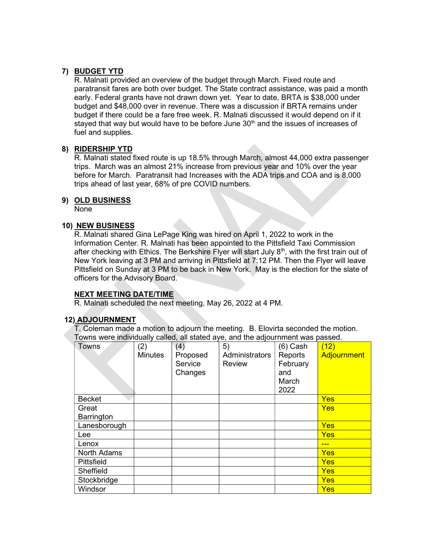# 7) BUDGET YTD

R. Malnati provided an overview of the budget through March. Fixed route and paratransit fares are both over budget. The State contract assistance, was paid a month early. Federal grants have not drawn down yet. Year to date, BRTA is \$38,000 under budget and \$48,000 over in revenue. There was a discussion if BRTA remains under budget if there could be a fare free week. R. Malnati discussed it would depend on if it stayed that way but would have to be before June  $30<sup>th</sup>$  and the issues of increases of fuel and supplies.

### 8) RIDERSHIP YTD

R. Malnati stated fixed route is up 18.5% through March, almost 44,000 extra passenger trips. March was an almost 21% increase from previous year and 10% over the year before for March. Paratransit had Increases with the ADA trips and COA and is 8,000 trips ahead of last year, 68% of pre COVID numbers.

### 9) OLD BUSINESS

None

### 10) NEW BUSINESS

R. Malnati shared Gina LePage King was hired on April 1, 2022 to work in the Information Center. R. Malnati has been appointed to the Pittsfield Taxi Commission after checking with Ethics. The Berkshire Flyer will start July 8<sup>th</sup>, with the first train out of New York leaving at 3 PM and arriving in Pittsfield at 7:12 PM. Then the Flyer will leave Pittsfield on Sunday at 3 PM to be back in New York. May is the election for the slate of officers for the Advisory Board.

## NEXT MEETING DATE/TIME

R. Malnati scheduled the next meeting, May 26, 2022 at 4 PM.

### 12) ADJOURNMENT

T. Coleman made a motion to adjourn the meeting. B. Elovirta seconded the motion. Towns were individually called, all stated aye, and the adjournment was passed.

| Towns              | (2)<br><b>Minutes</b> | (4)<br>Proposed<br>Service<br>Changes | 5)<br>Administrators<br>Review | (6) Cash<br>Reports<br>February<br>and<br>March<br>2022 | (12)<br>Adjournment |
|--------------------|-----------------------|---------------------------------------|--------------------------------|---------------------------------------------------------|---------------------|
| <b>Becket</b>      |                       |                                       |                                |                                                         | <b>Yes</b>          |
| Great              |                       |                                       |                                |                                                         | <b>Yes</b>          |
| Barrington         |                       |                                       |                                |                                                         |                     |
| Lanesborough       |                       |                                       |                                |                                                         | <b>Yes</b>          |
| Lee                |                       |                                       |                                |                                                         | <b>Yes</b>          |
| Lenox              |                       |                                       |                                |                                                         | ---                 |
| <b>North Adams</b> |                       |                                       |                                |                                                         | <b>Yes</b>          |
| Pittsfield         |                       |                                       |                                |                                                         | <b>Yes</b>          |
| Sheffield          |                       |                                       |                                |                                                         | <b>Yes</b>          |
| Stockbridge        |                       |                                       |                                |                                                         | <b>Yes</b>          |
| Windsor            |                       |                                       |                                |                                                         | <b>Yes</b>          |